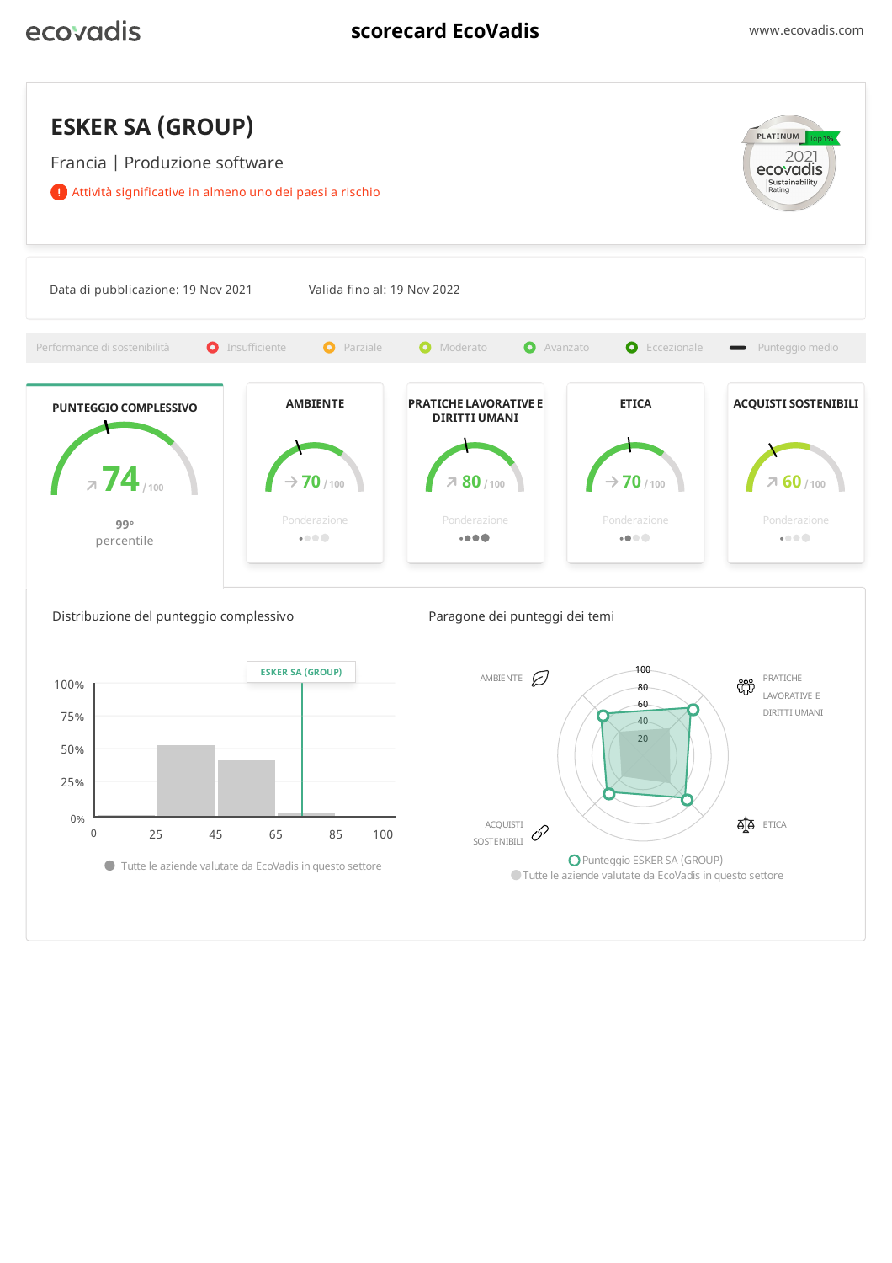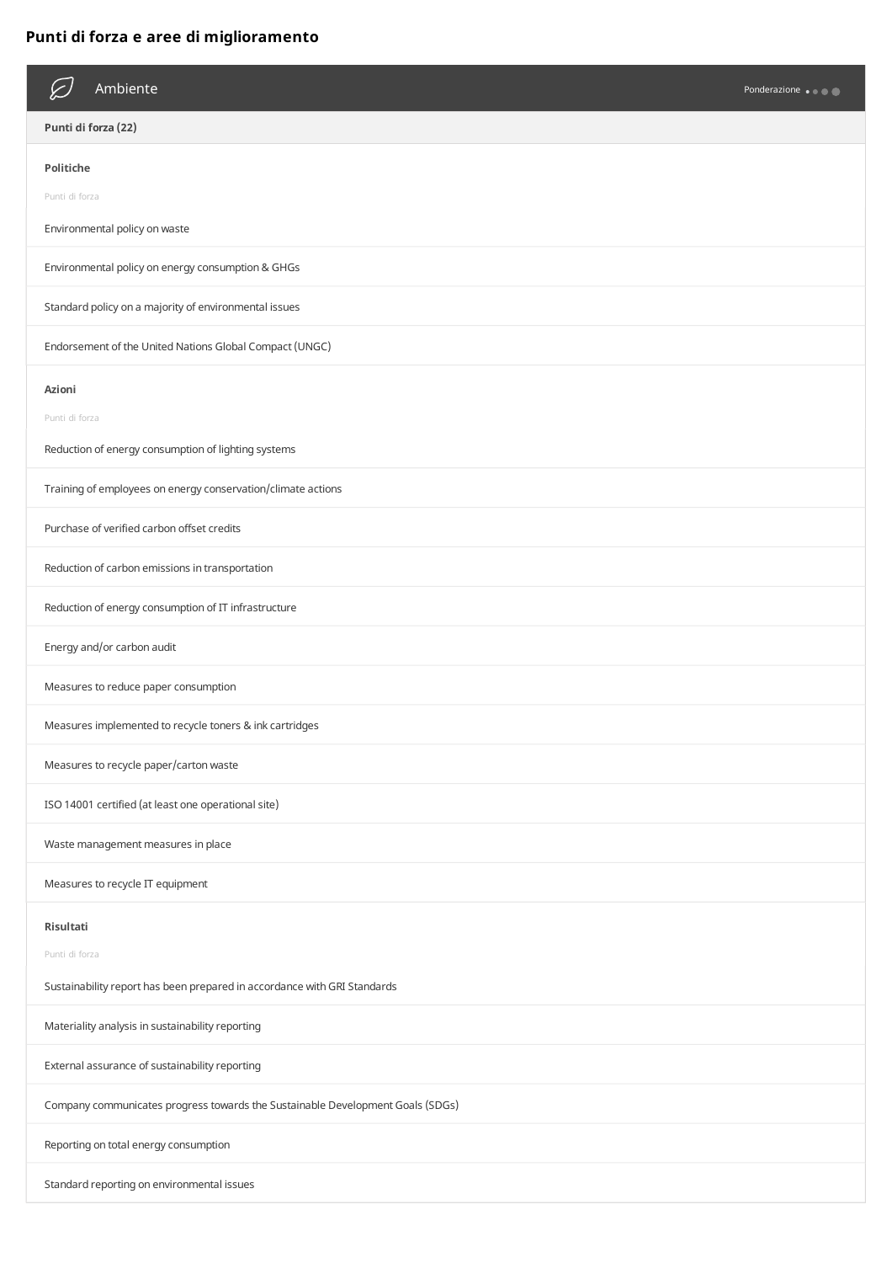## **Punti di forza e aree di miglioramento**

| Ambiente                                                                       | Ponderazione |
|--------------------------------------------------------------------------------|--------------|
| Punti di forza (22)                                                            |              |
| <b>Politiche</b>                                                               |              |
| Punti di forza                                                                 |              |
| Environmental policy on waste                                                  |              |
| Environmental policy on energy consumption & GHGs                              |              |
| Standard policy on a majority of environmental issues                          |              |
| Endorsement of the United Nations Global Compact (UNGC)                        |              |
| Azioni                                                                         |              |
| Punti di forza                                                                 |              |
| Reduction of energy consumption of lighting systems                            |              |
| Training of employees on energy conservation/climate actions                   |              |
| Purchase of verified carbon offset credits                                     |              |
| Reduction of carbon emissions in transportation                                |              |
| Reduction of energy consumption of IT infrastructure                           |              |
| Energy and/or carbon audit                                                     |              |
| Measures to reduce paper consumption                                           |              |
| Measures implemented to recycle toners & ink cartridges                        |              |
| Measures to recycle paper/carton waste                                         |              |
| ISO 14001 certified (at least one operational site)                            |              |
| Waste management measures in place                                             |              |
| Measures to recycle IT equipment                                               |              |
| Risultati                                                                      |              |
| Punti di forza                                                                 |              |
| Sustainability report has been prepared in accordance with GRI Standards       |              |
| Materiality analysis in sustainability reporting                               |              |
| External assurance of sustainability reporting                                 |              |
| Company communicates progress towards the Sustainable Development Goals (SDGs) |              |
| Reporting on total energy consumption                                          |              |
| Standard reporting on environmental issues                                     |              |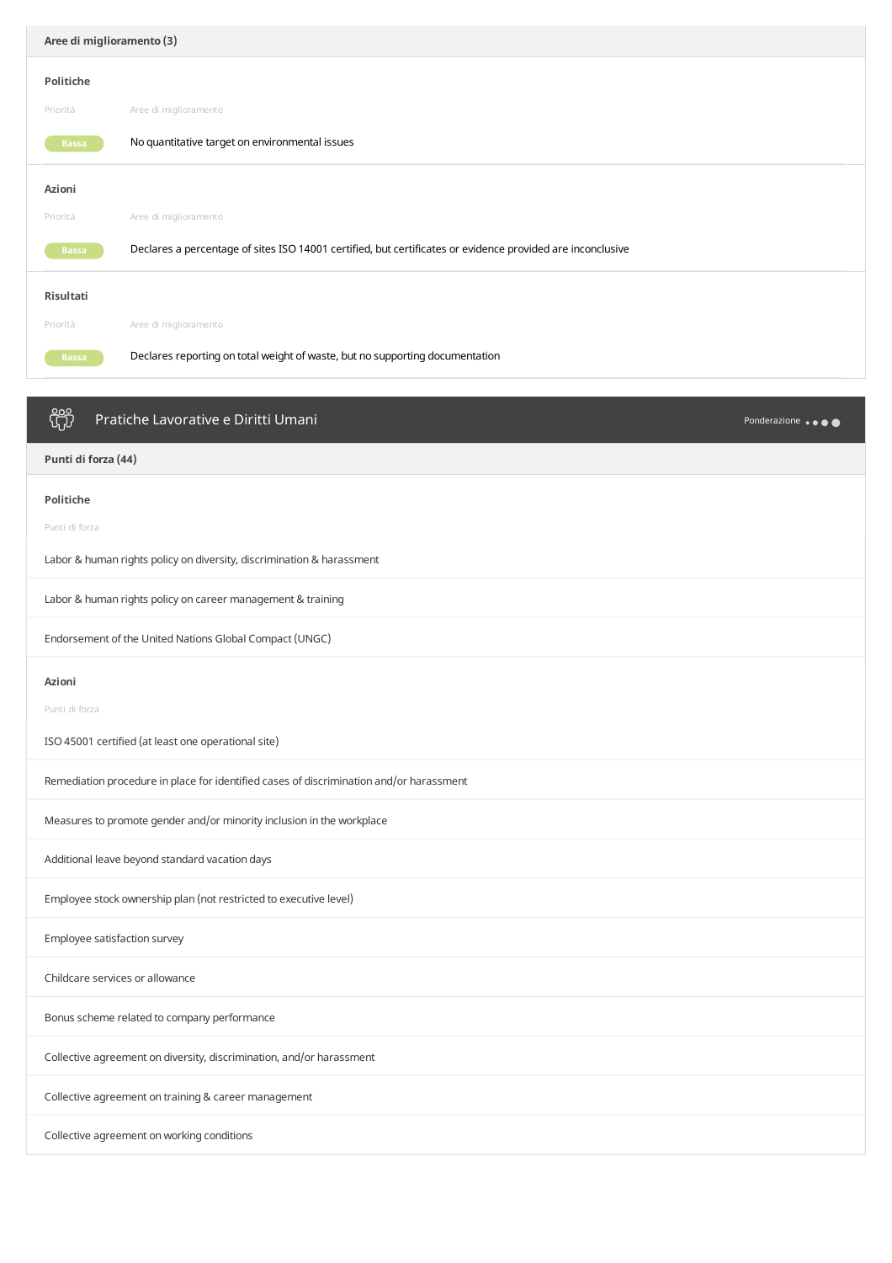| Aree di miglioramento (3) |                                                                                                            |              |
|---------------------------|------------------------------------------------------------------------------------------------------------|--------------|
| Politiche                 |                                                                                                            |              |
| Priorità                  | Aree di miglioramento                                                                                      |              |
| <b>Bassa</b>              | No quantitative target on environmental issues                                                             |              |
| Azioni                    |                                                                                                            |              |
| Priorità                  | Aree di miglioramento                                                                                      |              |
| <b>Bassa</b>              | Declares a percentage of sites ISO 14001 certified, but certificates or evidence provided are inconclusive |              |
| Risultati                 |                                                                                                            |              |
| Priorità                  | Aree di miglioramento                                                                                      |              |
| <b>Bassa</b>              | Declares reporting on total weight of waste, but no supporting documentation                               |              |
|                           |                                                                                                            |              |
| iÿ                        | Pratiche Lavorative e Diritti Umani                                                                        | Ponderazione |

**Punti di forza (44)**

**Politiche**

Punti di forza

Labor & human rights policy on diversity, discrimination & harassment

Labor & human rights policy on career management & training

Endorsement of the United Nations Global Compact (UNGC)

## **Azioni**

Punti di forza

ISO 45001 certified (at least one operational site)

Remediation procedure in place for identified cases of discrimination and/or harassment

Measures to promote gender and/or minority inclusion in the workplace

Additional leave beyond standard vacation days

Employee stock ownership plan (not restricted to executive level)

Employee satisfaction survey

Childcare services or allowance

Bonus scheme related to company performance

Collective agreement on diversity, discrimination, and/or harassment

Collective agreement on training & career management

Collective agreement on working conditions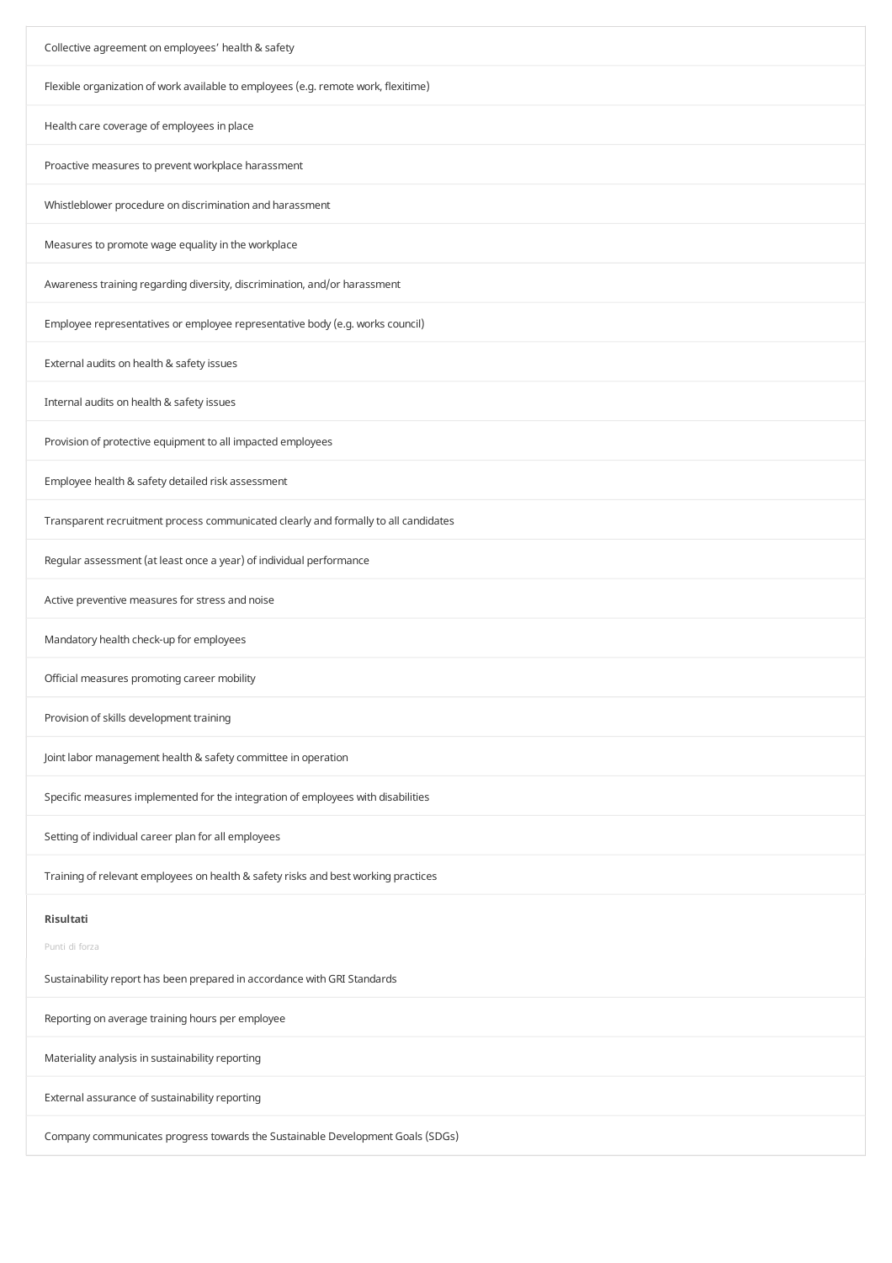| Collective agreement on employees' health & safety                                                      |
|---------------------------------------------------------------------------------------------------------|
| Flexible organization of work available to employees (e.g. remote work, flexitime)                      |
| Health care coverage of employees in place                                                              |
| Proactive measures to prevent workplace harassment                                                      |
| Whistleblower procedure on discrimination and harassment                                                |
| Measures to promote wage equality in the workplace                                                      |
| Awareness training regarding diversity, discrimination, and/or harassment                               |
| Employee representatives or employee representative body (e.g. works council)                           |
| External audits on health & safety issues                                                               |
| Internal audits on health & safety issues                                                               |
| Provision of protective equipment to all impacted employees                                             |
| Employee health & safety detailed risk assessment                                                       |
| Transparent recruitment process communicated clearly and formally to all candidates                     |
| Regular assessment (at least once a year) of individual performance                                     |
| Active preventive measures for stress and noise                                                         |
| Mandatory health check-up for employees                                                                 |
| Official measures promoting career mobility                                                             |
| Provision of skills development training                                                                |
| Joint labor management health & safety committee in operation                                           |
| Specific measures implemented for the integration of employees with disabilities                        |
| Setting of individual career plan for all employees                                                     |
| Training of relevant employees on health & safety risks and best working practices                      |
| Risultati<br>Punti di forza<br>Sustainability report has been prepared in accordance with GRI Standards |
| Reporting on average training hours per employee                                                        |
| Materiality analysis in sustainability reporting                                                        |
| External assurance of sustainability reporting                                                          |
| Company communicates progress towards the Sustainable Development Goals (SDGs)                          |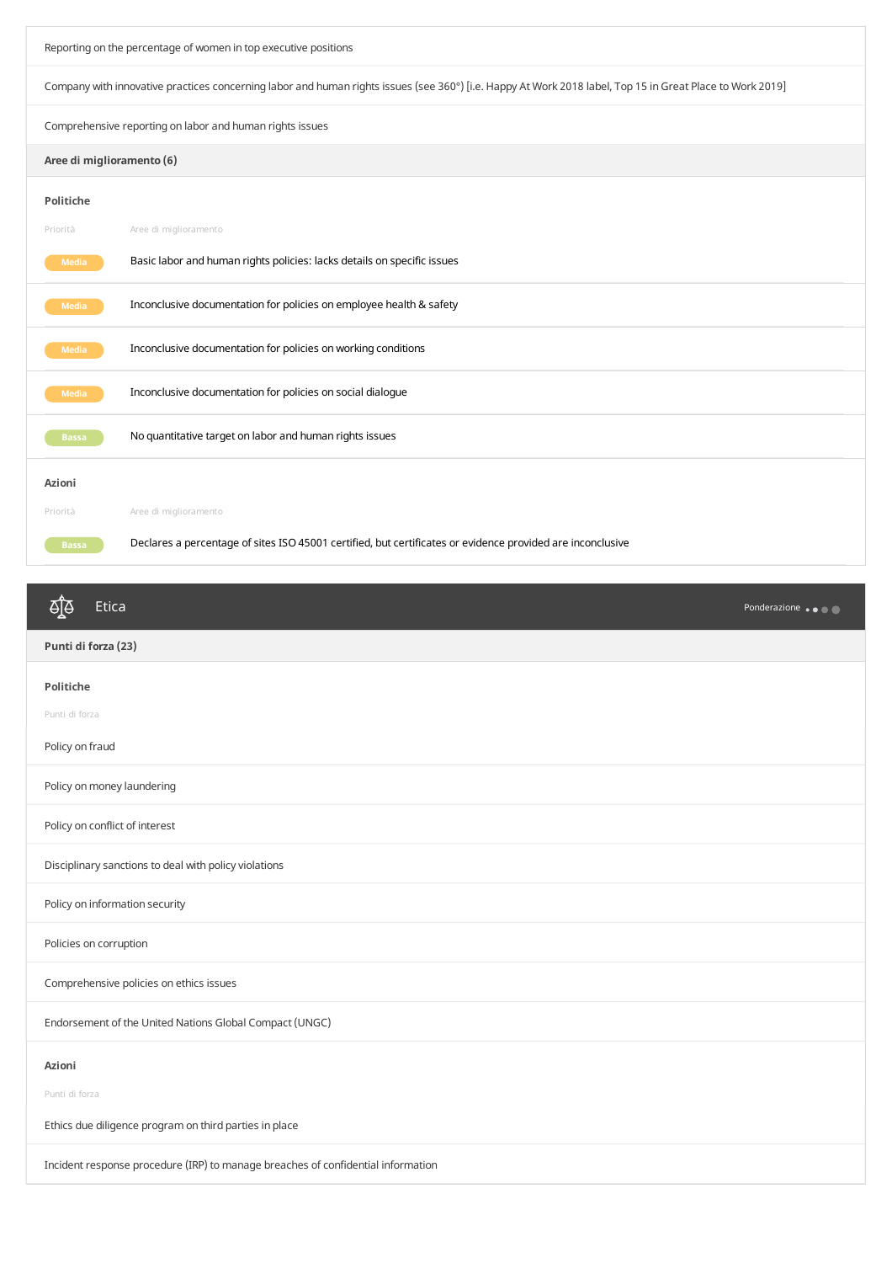Reporting on the percentage of women in top executive positions Company with innovative practices concerning labor and human rights issues (see 360°) [i.e. Happy AtWork 2018 label, Top 15 in Great Place toWork 2019] Comprehensive reporting on labor and human rights issues **Aree di miglioramento (6) Politiche** Priorità Aree di miglioramento **Media** Basic labor and human rights policies: lacks details on specific issues **Media** Inconclusive documentation for policies on employee health & safety **Media** Inconclusive documentation for policies on working conditions **Media** Inconclusive documentation for policies on social dialogue **Bassa** No quantitative target on labor and human rights issues **Azioni** Priorità Aree di miglioramento Beclares a percentage of sites ISO 45001 certified, but certificates or evidence provided are inconclusive

| ीड़<br>Etica                                                                     | Ponderazione |
|----------------------------------------------------------------------------------|--------------|
| Punti di forza (23)                                                              |              |
| <b>Politiche</b>                                                                 |              |
| Punti di forza                                                                   |              |
| Policy on fraud                                                                  |              |
| Policy on money laundering                                                       |              |
| Policy on conflict of interest                                                   |              |
| Disciplinary sanctions to deal with policy violations                            |              |
| Policy on information security                                                   |              |
| Policies on corruption                                                           |              |
| Comprehensive policies on ethics issues                                          |              |
| Endorsement of the United Nations Global Compact (UNGC)                          |              |
| Azioni                                                                           |              |
| Punti di forza                                                                   |              |
| Ethics due diligence program on third parties in place                           |              |
| Incident response procedure (IRP) to manage breaches of confidential information |              |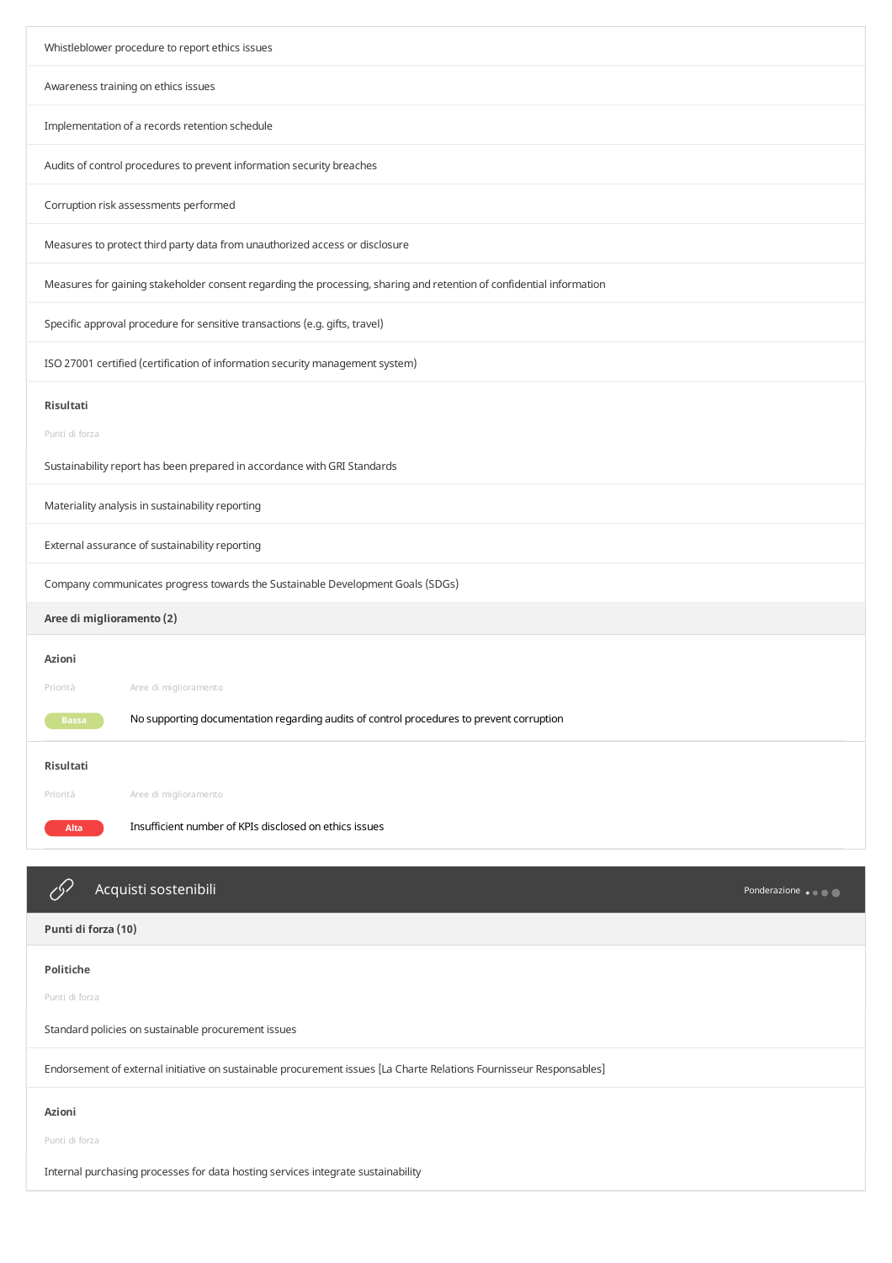| Whistleblower procedure to report ethics issues                                                                      |
|----------------------------------------------------------------------------------------------------------------------|
| Awareness training on ethics issues                                                                                  |
| Implementation of a records retention schedule                                                                       |
| Audits of control procedures to prevent information security breaches                                                |
| Corruption risk assessments performed                                                                                |
| Measures to protect third party data from unauthorized access or disclosure                                          |
| Measures for gaining stakeholder consent regarding the processing, sharing and retention of confidential information |
| Specific approval procedure for sensitive transactions (e.g. gifts, travel)                                          |
| ISO 27001 certified (certification of information security management system)                                        |
| Risultati                                                                                                            |
| Punti di forza                                                                                                       |
| Sustainability report has been prepared in accordance with GRI Standards                                             |
| Materiality analysis in sustainability reporting                                                                     |
| External assurance of sustainability reporting                                                                       |
| Company communicates progress towards the Sustainable Development Goals (SDGs)                                       |
| Aree di miglioramento (2)                                                                                            |
| Azioni                                                                                                               |
| Priorità<br>Aree di miglioramento                                                                                    |
|                                                                                                                      |
| No supporting documentation regarding audits of control procedures to prevent corruption<br><b>Bassa</b>             |
| Risultati                                                                                                            |
| Aree di miglioramento<br>Priorità                                                                                    |
| Insufficient number of KPIs disclosed on ethics issues<br><b>Alta</b>                                                |
|                                                                                                                      |
| Acquisti sostenibili<br>Ponderazione                                                                                 |
| Punti di forza (10)                                                                                                  |
| Politiche                                                                                                            |
| Punti di forza                                                                                                       |
| Standard policies on sustainable procurement issues                                                                  |
| Endorsement of external initiative on sustainable procurement issues [La Charte Relations Fournisseur Responsables]  |
| Azioni                                                                                                               |
| Punti di forza                                                                                                       |
|                                                                                                                      |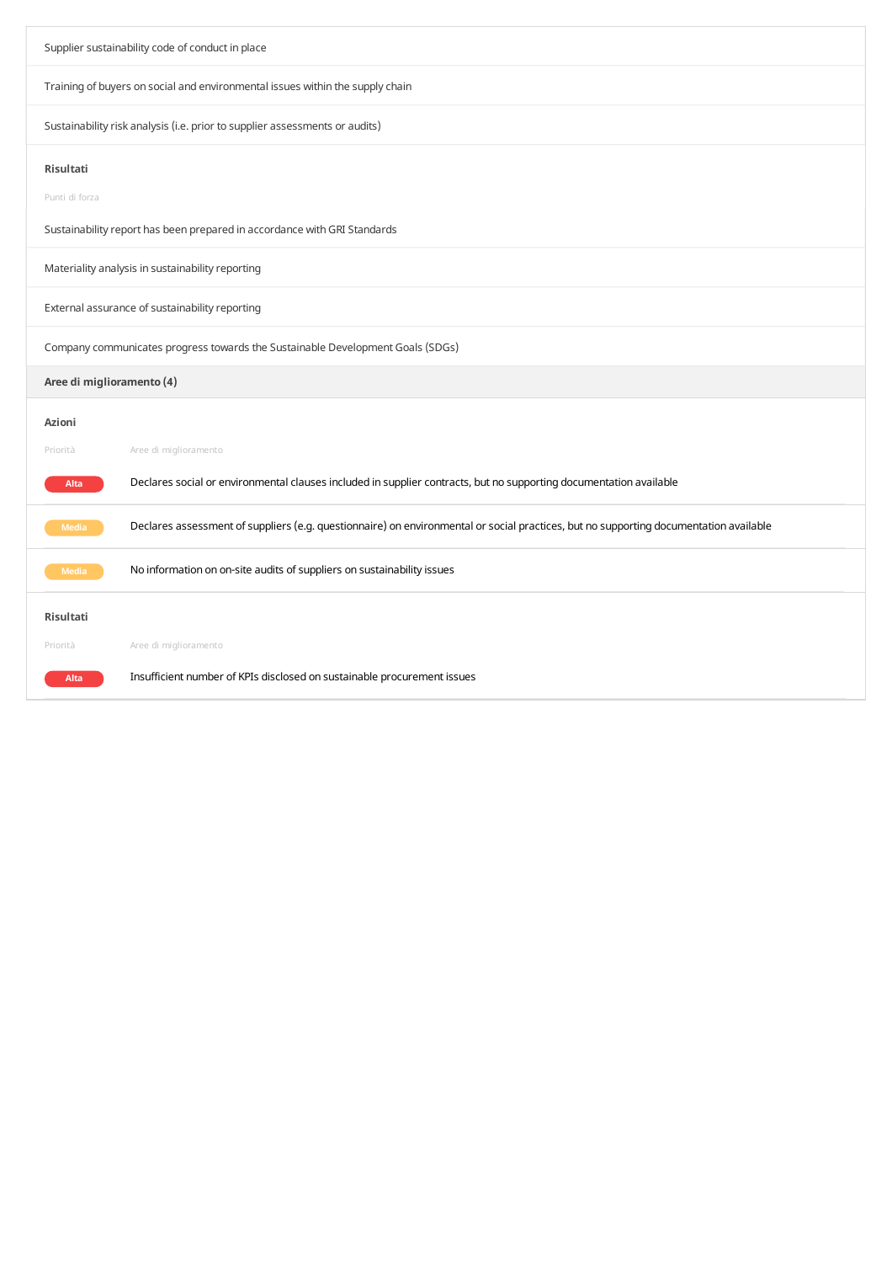| Supplier sustainability code of conduct in place                               |                                                                                                                                       |  |
|--------------------------------------------------------------------------------|---------------------------------------------------------------------------------------------------------------------------------------|--|
| Training of buyers on social and environmental issues within the supply chain  |                                                                                                                                       |  |
| Sustainability risk analysis (i.e. prior to supplier assessments or audits)    |                                                                                                                                       |  |
| <b>Risultati</b>                                                               |                                                                                                                                       |  |
| Punti di forza                                                                 |                                                                                                                                       |  |
| Sustainability report has been prepared in accordance with GRI Standards       |                                                                                                                                       |  |
| Materiality analysis in sustainability reporting                               |                                                                                                                                       |  |
| External assurance of sustainability reporting                                 |                                                                                                                                       |  |
| Company communicates progress towards the Sustainable Development Goals (SDGs) |                                                                                                                                       |  |
| Aree di miglioramento (4)                                                      |                                                                                                                                       |  |
| <b>Azioni</b>                                                                  |                                                                                                                                       |  |
| Priorità                                                                       | Aree di miglioramento                                                                                                                 |  |
| Alta                                                                           | Declares social or environmental clauses included in supplier contracts, but no supporting documentation available                    |  |
| <b>Media</b>                                                                   | Declares assessment of suppliers (e.g. questionnaire) on environmental or social practices, but no supporting documentation available |  |
| <b>Media</b>                                                                   | No information on on-site audits of suppliers on sustainability issues                                                                |  |
| <b>Risultati</b>                                                               |                                                                                                                                       |  |
| Priorità                                                                       | Aree di miglioramento                                                                                                                 |  |
| Alta                                                                           | Insufficient number of KPIs disclosed on sustainable procurement issues                                                               |  |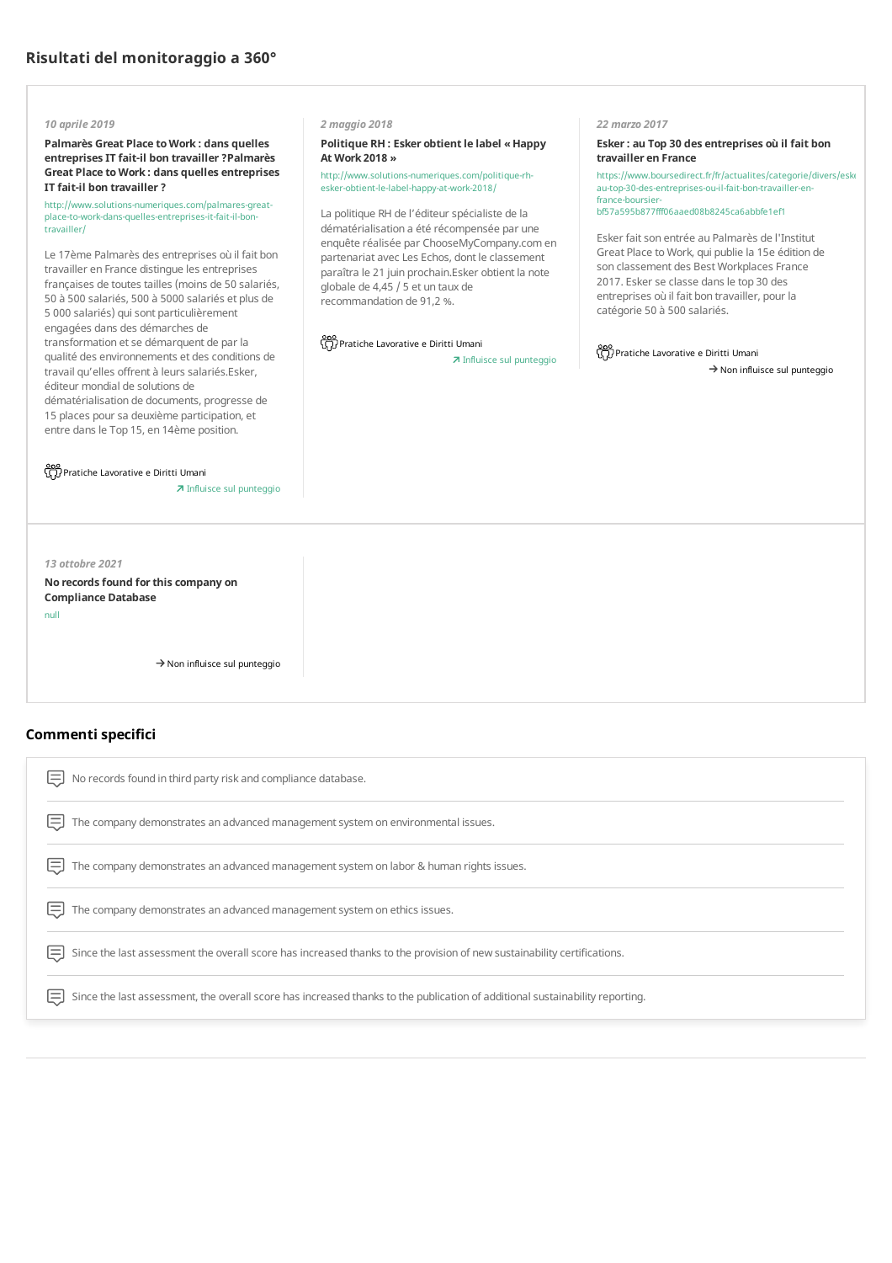## *10 aprile 2019*

**Palmarès Great Place toWork : dans quelles entreprisesIT fait-il bon travailler?Palmarès Great Place toWork : dans quelles entreprises IT fait-il bon travailler?**

http://www.solutions-numeriques.com/palmares-greatplace-to-work-dans-quelles-entreprises-it-fait-il-bontravailler/

Le 17ème Palmarès des entreprises où il fait bon travailler en France distingue les entreprises françaises de toutes tailles (moins de 50 salariés, 50 à 500 salariés, 500 à 5000 salariés et plus de 5 000 salariés) qui sont particulièrement engagées dans des démarches de transformation etse démarquent de par la qualité des environnements et des conditions de travail qu'elles offrent à leurs salariés.Esker, éditeur mondial de solutions de dématérialisation de documents, progresse de 15 places pour sa deuxième participation, et

entre dans le Top 15, en 14ème position.

Pratiche Lavorative e Diritti Umani

Influisce sul punteggio

*13 ottobre 2021*

**No recordsfound forthiscompany on Compliance Database** null

 $\rightarrow$  Non influisce sul punteggio

 $\Xi$  No records found in third party risk and compliance database.

## **Commenti specifici**

 $\Xi$  The company demonstrates an advanced management system on environmental issues.

 $\Xi$  The company demonstrates an advanced management system on labor & human rights issues.

 $\Xi$  The company demonstrates an advanced management system on ethics issues.

 $\Xi$  Since the last assessment the overall score has increased thanks to the provision of new sustainability certifications.

 $\Xi$  Since the last assessment, the overall score has increased thanks to the publication of additional sustainability reporting.

## *2 maggio 2018*

**Politique RH : Esker obtientle label « Happy At Work 2018 »**

http://www.solutions-numeriques.com/politique-rhesker-obtient-le-label-happy-at-work-2018/

La politique RH de l'éditeur spécialiste de la dématérialisation a été récompensée par une enquête réalisée par ChooseMyCompany.comen partenariat avecLes Echos, dont le classement paraîtra le 21 juin prochain.Esker obtient la note globale de 4,45 / 5 et un taux de recommandation de 91,2 %.

ooo<br>GD Pratiche Lavorative e Diritti Umani

Influisce sul punteggio

#### *22 marzo 2017*

**Esker: au Top 30 des entreprises où il fait bon travailler en France**

https://www.boursedirect.fr/fr/actualites/categorie/divers/eskerau-top-30-des-entreprises-ou-il-fait-bon-travailler-enfrance-boursierbf57a595b877fff06aaed08b8245ca6abbfe1ef1

Esker fait son entrée au Palmarès de l'Institut Great Place toWork, qui publie la 15e édition de son classement des Best Workplaces France 2017. Esker se classe dans le top 30 des entreprises où il fait bon travailler, pour la catégorie 50 à 500 salariés.

Pratiche Lavorative e Diritti Umani

 $\rightarrow$  Non influisce sul punteggio